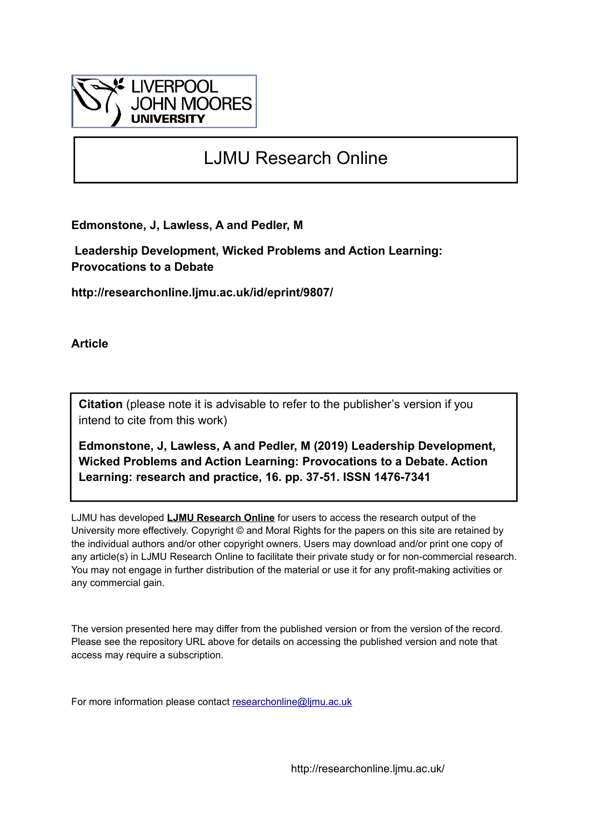

# LJMU Research Online

**Edmonstone, J, Lawless, A and Pedler, M**

 **Leadership Development, Wicked Problems and Action Learning: Provocations to a Debate**

**http://researchonline.ljmu.ac.uk/id/eprint/9807/**

**Article**

**Citation** (please note it is advisable to refer to the publisher's version if you intend to cite from this work)

**Edmonstone, J, Lawless, A and Pedler, M (2019) Leadership Development, Wicked Problems and Action Learning: Provocations to a Debate. Action Learning: research and practice, 16. pp. 37-51. ISSN 1476-7341** 

LJMU has developed **[LJMU Research Online](http://researchonline.ljmu.ac.uk/)** for users to access the research output of the University more effectively. Copyright © and Moral Rights for the papers on this site are retained by the individual authors and/or other copyright owners. Users may download and/or print one copy of any article(s) in LJMU Research Online to facilitate their private study or for non-commercial research. You may not engage in further distribution of the material or use it for any profit-making activities or any commercial gain.

The version presented here may differ from the published version or from the version of the record. Please see the repository URL above for details on accessing the published version and note that access may require a subscription.

For more information please contact [researchonline@ljmu.ac.uk](mailto:researchonline@ljmu.ac.uk)

http://researchonline.ljmu.ac.uk/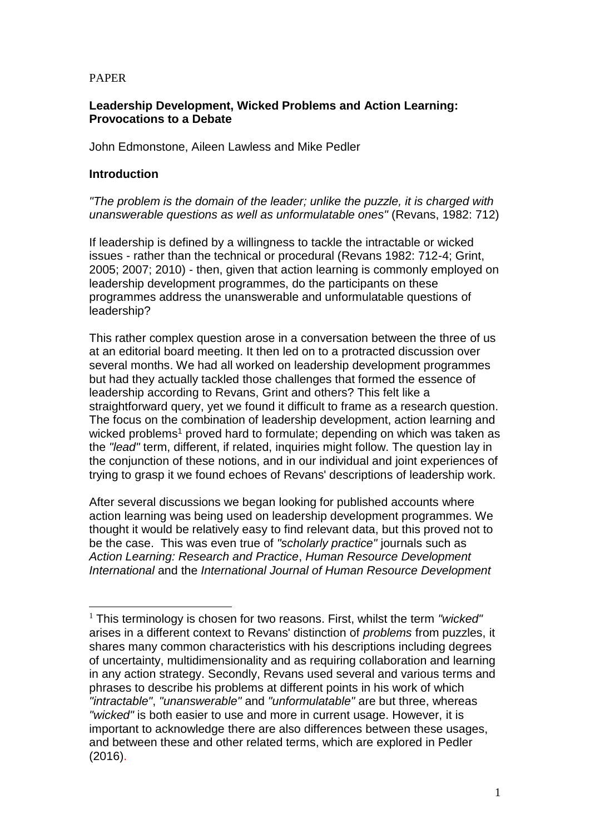#### PAPER

#### **Leadership Development, Wicked Problems and Action Learning: Provocations to a Debate**

John Edmonstone, Aileen Lawless and Mike Pedler

#### **Introduction**

1

*"The problem is the domain of the leader; unlike the puzzle, it is charged with unanswerable questions as well as unformulatable ones"* (Revans, 1982: 712)

If leadership is defined by a willingness to tackle the intractable or wicked issues - rather than the technical or procedural (Revans 1982: 712-4; Grint, 2005; 2007; 2010) - then, given that action learning is commonly employed on leadership development programmes, do the participants on these programmes address the unanswerable and unformulatable questions of leadership?

This rather complex question arose in a conversation between the three of us at an editorial board meeting. It then led on to a protracted discussion over several months. We had all worked on leadership development programmes but had they actually tackled those challenges that formed the essence of leadership according to Revans, Grint and others? This felt like a straightforward query, yet we found it difficult to frame as a research question. The focus on the combination of leadership development, action learning and wicked problems<sup>1</sup> proved hard to formulate; depending on which was taken as the *"lead"* term, different, if related, inquiries might follow. The question lay in the conjunction of these notions, and in our individual and joint experiences of trying to grasp it we found echoes of Revans' descriptions of leadership work.

After several discussions we began looking for published accounts where action learning was being used on leadership development programmes. We thought it would be relatively easy to find relevant data, but this proved not to be the case. This was even true of *"scholarly practice"* journals such as *Action Learning: Research and Practice*, *Human Resource Development International* and the *International Journal of Human Resource Development* 

<sup>1</sup> This terminology is chosen for two reasons. First, whilst the term *"wicked"* arises in a different context to Revans' distinction of *problems* from puzzles, it shares many common characteristics with his descriptions including degrees of uncertainty, multidimensionality and as requiring collaboration and learning in any action strategy. Secondly, Revans used several and various terms and phrases to describe his problems at different points in his work of which *"intractable"*, *"unanswerable"* and *"unformulatable"* are but three, whereas *"wicked"* is both easier to use and more in current usage. However, it is important to acknowledge there are also differences between these usages, and between these and other related terms, which are explored in Pedler (2016).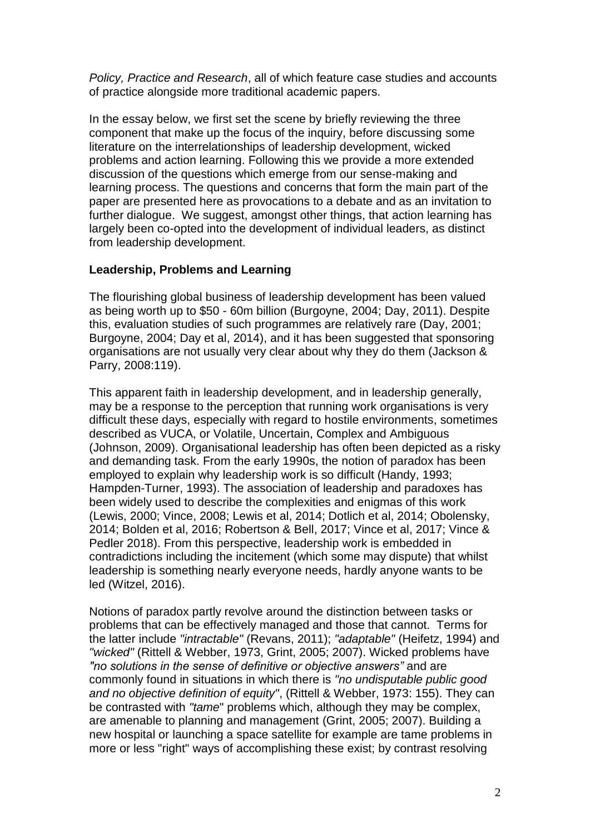*Policy, Practice and Research*, all of which feature case studies and accounts of practice alongside more traditional academic papers.

In the essay below, we first set the scene by briefly reviewing the three component that make up the focus of the inquiry, before discussing some literature on the interrelationships of leadership development, wicked problems and action learning. Following this we provide a more extended discussion of the questions which emerge from our sense-making and learning process. The questions and concerns that form the main part of the paper are presented here as provocations to a debate and as an invitation to further dialogue. We suggest, amongst other things, that action learning has largely been co-opted into the development of individual leaders, as distinct from leadership development.

#### **Leadership, Problems and Learning**

The flourishing global business of leadership development has been valued as being worth up to \$50 - 60m billion (Burgoyne, 2004; Day, 2011). Despite this, evaluation studies of such programmes are relatively rare (Day, 2001; Burgoyne, 2004; Day et al, 2014), and it has been suggested that sponsoring organisations are not usually very clear about why they do them (Jackson & Parry, 2008:119).

This apparent faith in leadership development, and in leadership generally, may be a response to the perception that running work organisations is very difficult these days, especially with regard to hostile environments, sometimes described as VUCA, or Volatile, Uncertain, Complex and Ambiguous (Johnson, 2009). Organisational leadership has often been depicted as a risky and demanding task. From the early 1990s, the notion of paradox has been employed to explain why leadership work is so difficult (Handy, 1993; Hampden-Turner, 1993). The association of leadership and paradoxes has been widely used to describe the complexities and enigmas of this work (Lewis, 2000; Vince, 2008; Lewis et al, 2014; Dotlich et al, 2014; Obolensky, 2014; Bolden et al, 2016; Robertson & Bell, 2017; Vince et al, 2017; Vince & Pedler 2018). From this perspective, leadership work is embedded in contradictions including the incitement (which some may dispute) that whilst leadership is something nearly everyone needs, hardly anyone wants to be led (Witzel, 2016).

Notions of paradox partly revolve around the distinction between tasks or problems that can be effectively managed and those that cannot. Terms for the latter include *"intractable"* (Revans, 2011); *"adaptable"* (Heifetz, 1994) and *"wicked"* (Rittell & Webber, 1973, Grint, 2005; 2007). Wicked problems have *"no solutions in the sense of definitive or objective answers"* and are commonly found in situations in which there is *"no undisputable public good and no objective definition of equity"*, (Rittell & Webber, 1973: 155). They can be contrasted with *"tame*" problems which, although they may be complex, are amenable to planning and management (Grint, 2005; 2007). Building a new hospital or launching a space satellite for example are tame problems in more or less "right" ways of accomplishing these exist; by contrast resolving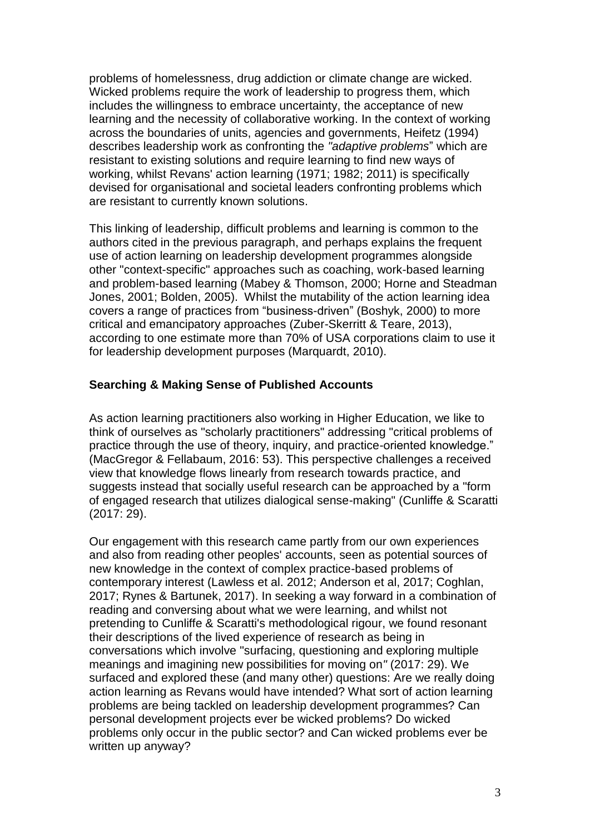problems of homelessness, drug addiction or climate change are wicked. Wicked problems require the work of leadership to progress them, which includes the willingness to embrace uncertainty, the acceptance of new learning and the necessity of collaborative working. In the context of working across the boundaries of units, agencies and governments, Heifetz (1994) describes leadership work as confronting the *"adaptive problems*" which are resistant to existing solutions and require learning to find new ways of working, whilst Revans' action learning (1971; 1982; 2011) is specifically devised for organisational and societal leaders confronting problems which are resistant to currently known solutions.

This linking of leadership, difficult problems and learning is common to the authors cited in the previous paragraph, and perhaps explains the frequent use of action learning on leadership development programmes alongside other "context-specific" approaches such as coaching, work-based learning and problem-based learning (Mabey & Thomson, 2000; Horne and Steadman Jones, 2001; Bolden, 2005). Whilst the mutability of the action learning idea covers a range of practices from "business-driven" (Boshyk, 2000) to more critical and emancipatory approaches (Zuber-Skerritt & Teare, 2013), according to one estimate more than 70% of USA corporations claim to use it for leadership development purposes (Marquardt, 2010).

## **Searching & Making Sense of Published Accounts**

As action learning practitioners also working in Higher Education, we like to think of ourselves as "scholarly practitioners" addressing "critical problems of practice through the use of theory, inquiry, and practice-oriented knowledge." (MacGregor & Fellabaum, 2016: 53). This perspective challenges a received view that knowledge flows linearly from research towards practice, and suggests instead that socially useful research can be approached by a "form of engaged research that utilizes dialogical sense-making" (Cunliffe & Scaratti (2017: 29).

Our engagement with this research came partly from our own experiences and also from reading other peoples' accounts, seen as potential sources of new knowledge in the context of complex practice-based problems of contemporary interest (Lawless et al. 2012; Anderson et al, 2017; Coghlan, 2017; Rynes & Bartunek, 2017). In seeking a way forward in a combination of reading and conversing about what we were learning, and whilst not pretending to Cunliffe & Scaratti's methodological rigour, we found resonant their descriptions of the lived experience of research as being in conversations which involve "surfacing, questioning and exploring multiple meanings and imagining new possibilities for moving on*"* (2017: 29). We surfaced and explored these (and many other) questions: Are we really doing action learning as Revans would have intended? What sort of action learning problems are being tackled on leadership development programmes? Can personal development projects ever be wicked problems? Do wicked problems only occur in the public sector? and Can wicked problems ever be written up anyway?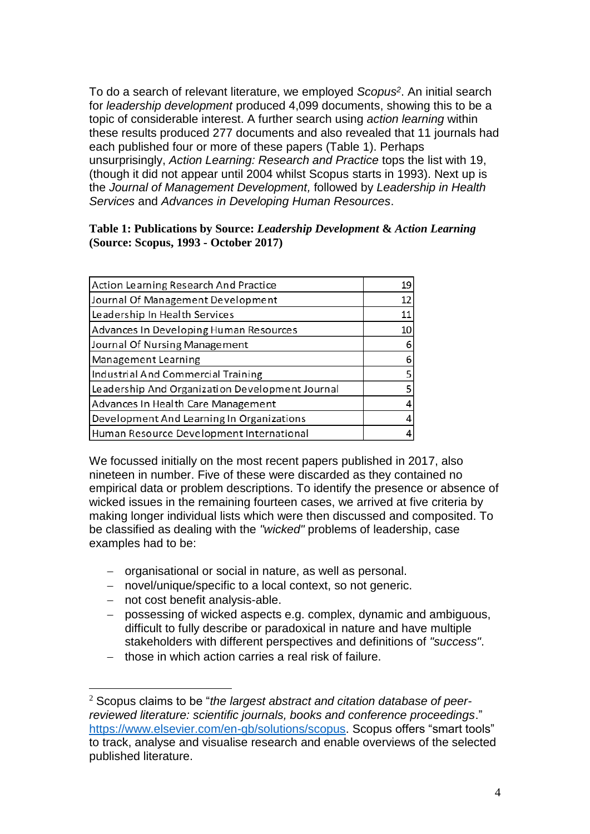To do a search of relevant literature, we employed *Scopus<sup>2</sup>* . An initial search for *leadership development* produced 4,099 documents, showing this to be a topic of considerable interest. A further search using *action learning* within these results produced 277 documents and also revealed that 11 journals had each published four or more of these papers (Table 1). Perhaps unsurprisingly, *Action Learning: Research and Practice* tops the list with 19, (though it did not appear until 2004 whilst Scopus starts in 1993). Next up is the *Journal of Management Development,* followed by *Leadership in Health Services* and *Advances in Developing Human Resources*.

#### **Table 1: Publications by Source:** *Leadership Development* **&** *Action Learning* **(Source: Scopus, 1993 - October 2017)**

| Action Learning Research And Practice           | 19 |
|-------------------------------------------------|----|
| Journal Of Management Development               | 12 |
| Leadership In Health Services                   | 11 |
| Advances In Developing Human Resources          | 10 |
| Journal Of Nursing Management                   | 6  |
| Management Learning                             | 6  |
| Industrial And Commercial Training              |    |
| Leadership And Organization Development Journal |    |
| Advances In Health Care Management              |    |
| Development And Learning In Organizations       |    |
| Human Resource Development International        |    |

We focussed initially on the most recent papers published in 2017, also nineteen in number. Five of these were discarded as they contained no empirical data or problem descriptions. To identify the presence or absence of wicked issues in the remaining fourteen cases, we arrived at five criteria by making longer individual lists which were then discussed and composited. To be classified as dealing with the *"wicked"* problems of leadership, case examples had to be:

- organisational or social in nature, as well as personal.
- novel/unique/specific to a local context, so not generic.
- not cost benefit analysis-able.

1

- possessing of wicked aspects e.g. complex, dynamic and ambiguous, difficult to fully describe or paradoxical in nature and have multiple stakeholders with different perspectives and definitions of *"success"*.
- $-$  those in which action carries a real risk of failure.

<sup>2</sup> Scopus claims to be "*the largest abstract and citation database of peerreviewed literature: scientific journals, books and conference proceedings*." [https://www.elsevier.com/en-gb/solutions/scopus.](https://www.elsevier.com/en-gb/solutions/scopus) Scopus offers "smart tools" to track, analyse and visualise research and enable overviews of the selected published literature.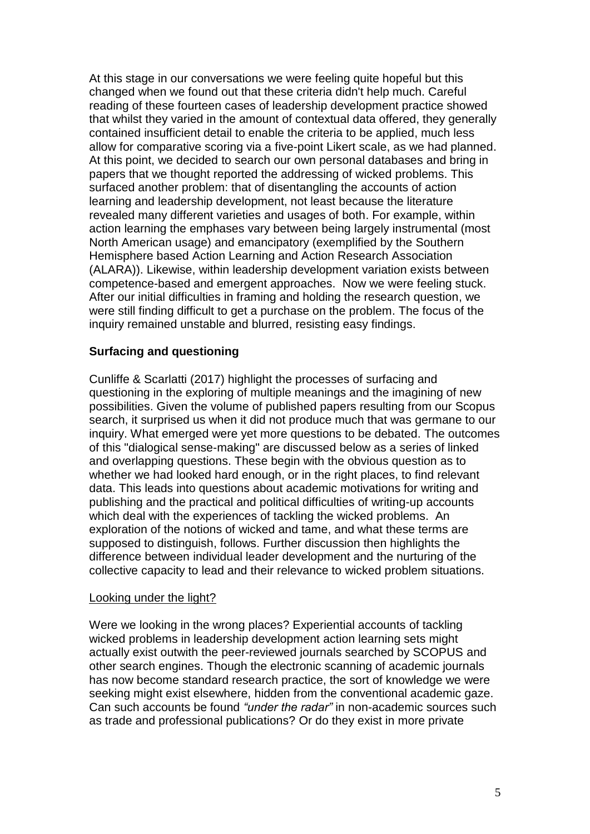At this stage in our conversations we were feeling quite hopeful but this changed when we found out that these criteria didn't help much. Careful reading of these fourteen cases of leadership development practice showed that whilst they varied in the amount of contextual data offered, they generally contained insufficient detail to enable the criteria to be applied, much less allow for comparative scoring via a five-point Likert scale, as we had planned. At this point, we decided to search our own personal databases and bring in papers that we thought reported the addressing of wicked problems. This surfaced another problem: that of disentangling the accounts of action learning and leadership development, not least because the literature revealed many different varieties and usages of both. For example, within action learning the emphases vary between being largely instrumental (most North American usage) and emancipatory (exemplified by the Southern Hemisphere based Action Learning and Action Research Association (ALARA)). Likewise, within leadership development variation exists between competence-based and emergent approaches. Now we were feeling stuck. After our initial difficulties in framing and holding the research question, we were still finding difficult to get a purchase on the problem. The focus of the inquiry remained unstable and blurred, resisting easy findings.

## **Surfacing and questioning**

Cunliffe & Scarlatti (2017) highlight the processes of surfacing and questioning in the exploring of multiple meanings and the imagining of new possibilities. Given the volume of published papers resulting from our Scopus search, it surprised us when it did not produce much that was germane to our inquiry. What emerged were yet more questions to be debated. The outcomes of this "dialogical sense-making" are discussed below as a series of linked and overlapping questions. These begin with the obvious question as to whether we had looked hard enough, or in the right places, to find relevant data. This leads into questions about academic motivations for writing and publishing and the practical and political difficulties of writing-up accounts which deal with the experiences of tackling the wicked problems. An exploration of the notions of wicked and tame, and what these terms are supposed to distinguish, follows. Further discussion then highlights the difference between individual leader development and the nurturing of the collective capacity to lead and their relevance to wicked problem situations.

#### Looking under the light?

Were we looking in the wrong places? Experiential accounts of tackling wicked problems in leadership development action learning sets might actually exist outwith the peer-reviewed journals searched by SCOPUS and other search engines. Though the electronic scanning of academic journals has now become standard research practice, the sort of knowledge we were seeking might exist elsewhere, hidden from the conventional academic gaze. Can such accounts be found *"under the radar"* in non-academic sources such as trade and professional publications? Or do they exist in more private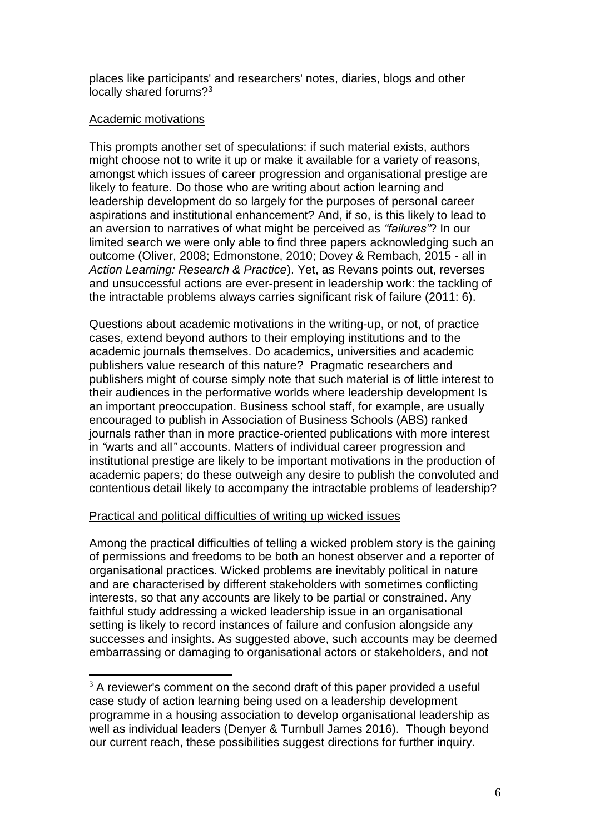places like participants' and researchers' notes, diaries, blogs and other locally shared forums?<sup>3</sup>

#### Academic motivations

1

This prompts another set of speculations: if such material exists, authors might choose not to write it up or make it available for a variety of reasons, amongst which issues of career progression and organisational prestige are likely to feature. Do those who are writing about action learning and leadership development do so largely for the purposes of personal career aspirations and institutional enhancement? And, if so, is this likely to lead to an aversion to narratives of what might be perceived as *"failures"*? In our limited search we were only able to find three papers acknowledging such an outcome (Oliver, 2008; Edmonstone, 2010; Dovey & Rembach, 2015 - all in *Action Learning: Research & Practice*). Yet, as Revans points out, reverses and unsuccessful actions are ever-present in leadership work: the tackling of the intractable problems always carries significant risk of failure (2011: 6).

Questions about academic motivations in the writing-up, or not, of practice cases, extend beyond authors to their employing institutions and to the academic journals themselves. Do academics, universities and academic publishers value research of this nature? Pragmatic researchers and publishers might of course simply note that such material is of little interest to their audiences in the performative worlds where leadership development Is an important preoccupation. Business school staff, for example, are usually encouraged to publish in Association of Business Schools (ABS) ranked journals rather than in more practice-oriented publications with more interest in *"*warts and all*"* accounts. Matters of individual career progression and institutional prestige are likely to be important motivations in the production of academic papers; do these outweigh any desire to publish the convoluted and contentious detail likely to accompany the intractable problems of leadership?

#### Practical and political difficulties of writing up wicked issues

Among the practical difficulties of telling a wicked problem story is the gaining of permissions and freedoms to be both an honest observer and a reporter of organisational practices. Wicked problems are inevitably political in nature and are characterised by different stakeholders with sometimes conflicting interests, so that any accounts are likely to be partial or constrained. Any faithful study addressing a wicked leadership issue in an organisational setting is likely to record instances of failure and confusion alongside any successes and insights. As suggested above, such accounts may be deemed embarrassing or damaging to organisational actors or stakeholders, and not

 $3$  A reviewer's comment on the second draft of this paper provided a useful case study of action learning being used on a leadership development programme in a housing association to develop organisational leadership as well as individual leaders (Denyer & Turnbull James 2016). Though beyond our current reach, these possibilities suggest directions for further inquiry.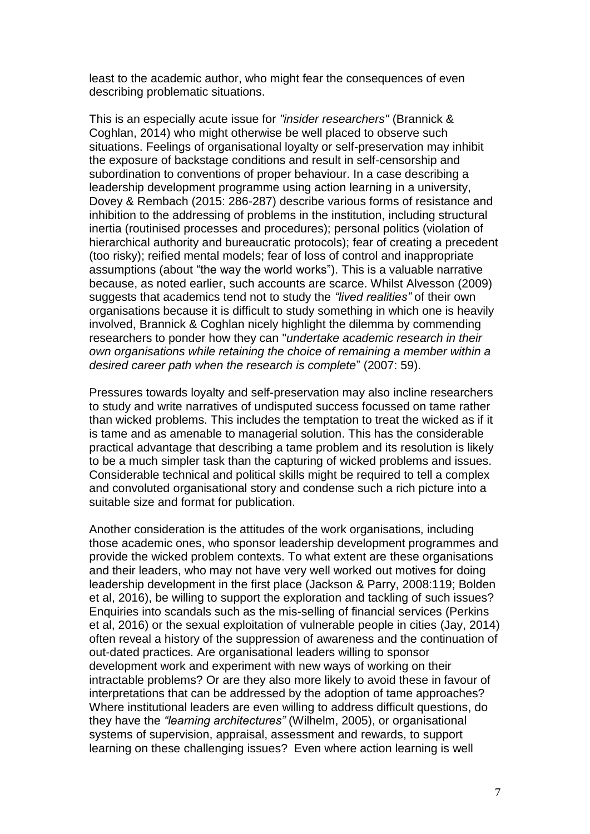least to the academic author, who might fear the consequences of even describing problematic situations.

This is an especially acute issue for *"insider researchers"* (Brannick & Coghlan, 2014) who might otherwise be well placed to observe such situations. Feelings of organisational loyalty or self-preservation may inhibit the exposure of backstage conditions and result in self-censorship and subordination to conventions of proper behaviour. In a case describing a leadership development programme using action learning in a university, Dovey & Rembach (2015: 286-287) describe various forms of resistance and inhibition to the addressing of problems in the institution, including structural inertia (routinised processes and procedures); personal politics (violation of hierarchical authority and bureaucratic protocols); fear of creating a precedent (too risky); reified mental models; fear of loss of control and inappropriate assumptions (about "the way the world works"). This is a valuable narrative because, as noted earlier, such accounts are scarce. Whilst Alvesson (2009) suggests that academics tend not to study the *"lived realities"* of their own organisations because it is difficult to study something in which one is heavily involved, Brannick & Coghlan nicely highlight the dilemma by commending researchers to ponder how they can "*undertake academic research in their own organisations while retaining the choice of remaining a member within a desired career path when the research is complete*" (2007: 59).

Pressures towards loyalty and self-preservation may also incline researchers to study and write narratives of undisputed success focussed on tame rather than wicked problems. This includes the temptation to treat the wicked as if it is tame and as amenable to managerial solution. This has the considerable practical advantage that describing a tame problem and its resolution is likely to be a much simpler task than the capturing of wicked problems and issues. Considerable technical and political skills might be required to tell a complex and convoluted organisational story and condense such a rich picture into a suitable size and format for publication.

Another consideration is the attitudes of the work organisations, including those academic ones, who sponsor leadership development programmes and provide the wicked problem contexts. To what extent are these organisations and their leaders, who may not have very well worked out motives for doing leadership development in the first place (Jackson & Parry, 2008:119; Bolden et al, 2016), be willing to support the exploration and tackling of such issues? Enquiries into scandals such as the mis-selling of financial services (Perkins et al, 2016) or the sexual exploitation of vulnerable people in cities (Jay, 2014) often reveal a history of the suppression of awareness and the continuation of out-dated practices. Are organisational leaders willing to sponsor development work and experiment with new ways of working on their intractable problems? Or are they also more likely to avoid these in favour of interpretations that can be addressed by the adoption of tame approaches? Where institutional leaders are even willing to address difficult questions, do they have the *"learning architectures"* (Wilhelm, 2005), or organisational systems of supervision, appraisal, assessment and rewards, to support learning on these challenging issues? Even where action learning is well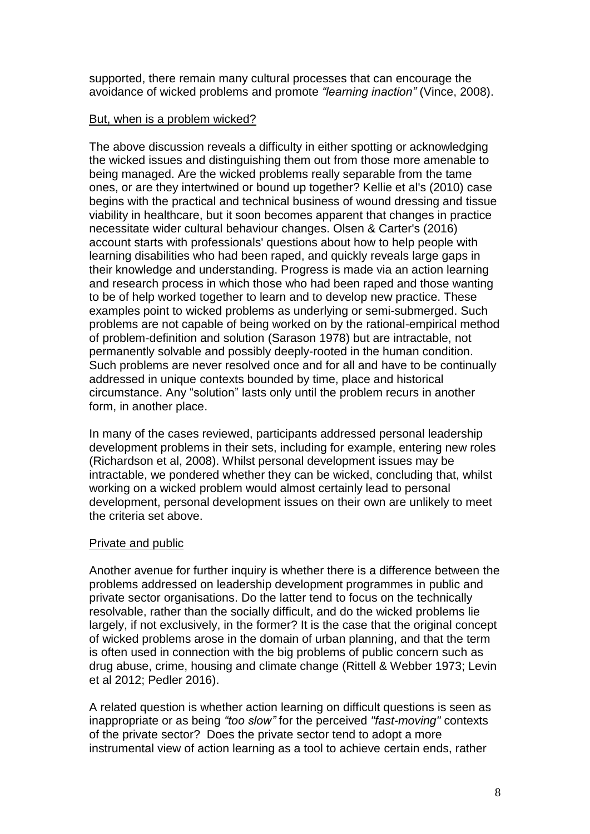supported, there remain many cultural processes that can encourage the avoidance of wicked problems and promote *"learning inaction"* (Vince, 2008).

#### But, when is a problem wicked?

The above discussion reveals a difficulty in either spotting or acknowledging the wicked issues and distinguishing them out from those more amenable to being managed. Are the wicked problems really separable from the tame ones, or are they intertwined or bound up together? Kellie et al's (2010) case begins with the practical and technical business of wound dressing and tissue viability in healthcare, but it soon becomes apparent that changes in practice necessitate wider cultural behaviour changes. Olsen & Carter's (2016) account starts with professionals' questions about how to help people with learning disabilities who had been raped, and quickly reveals large gaps in their knowledge and understanding. Progress is made via an action learning and research process in which those who had been raped and those wanting to be of help worked together to learn and to develop new practice. These examples point to wicked problems as underlying or semi-submerged. Such problems are not capable of being worked on by the rational-empirical method of problem-definition and solution (Sarason 1978) but are intractable, not permanently solvable and possibly deeply-rooted in the human condition. Such problems are never resolved once and for all and have to be continually addressed in unique contexts bounded by time, place and historical circumstance. Any "solution" lasts only until the problem recurs in another form, in another place.

In many of the cases reviewed, participants addressed personal leadership development problems in their sets, including for example, entering new roles (Richardson et al, 2008). Whilst personal development issues may be intractable, we pondered whether they can be wicked, concluding that, whilst working on a wicked problem would almost certainly lead to personal development, personal development issues on their own are unlikely to meet the criteria set above.

#### Private and public

Another avenue for further inquiry is whether there is a difference between the problems addressed on leadership development programmes in public and private sector organisations. Do the latter tend to focus on the technically resolvable, rather than the socially difficult, and do the wicked problems lie largely, if not exclusively, in the former? It is the case that the original concept of wicked problems arose in the domain of urban planning, and that the term is often used in connection with the big problems of public concern such as drug abuse, crime, housing and climate change (Rittell & Webber 1973; Levin et al 2012; Pedler 2016).

A related question is whether action learning on difficult questions is seen as inappropriate or as being *"too slow"* for the perceived *"fast-moving"* contexts of the private sector? Does the private sector tend to adopt a more instrumental view of action learning as a tool to achieve certain ends, rather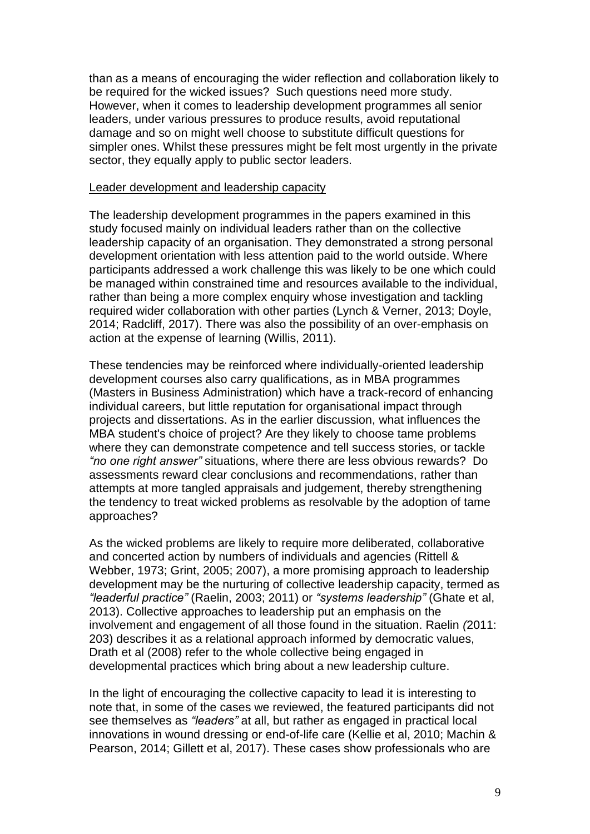than as a means of encouraging the wider reflection and collaboration likely to be required for the wicked issues? Such questions need more study. However, when it comes to leadership development programmes all senior leaders, under various pressures to produce results, avoid reputational damage and so on might well choose to substitute difficult questions for simpler ones. Whilst these pressures might be felt most urgently in the private sector, they equally apply to public sector leaders.

#### Leader development and leadership capacity

The leadership development programmes in the papers examined in this study focused mainly on individual leaders rather than on the collective leadership capacity of an organisation. They demonstrated a strong personal development orientation with less attention paid to the world outside. Where participants addressed a work challenge this was likely to be one which could be managed within constrained time and resources available to the individual, rather than being a more complex enquiry whose investigation and tackling required wider collaboration with other parties (Lynch & Verner, 2013; Doyle, 2014; Radcliff, 2017). There was also the possibility of an over-emphasis on action at the expense of learning (Willis, 2011).

These tendencies may be reinforced where individually-oriented leadership development courses also carry qualifications, as in MBA programmes (Masters in Business Administration) which have a track-record of enhancing individual careers, but little reputation for organisational impact through projects and dissertations. As in the earlier discussion, what influences the MBA student's choice of project? Are they likely to choose tame problems where they can demonstrate competence and tell success stories, or tackle *"no one right answer"* situations, where there are less obvious rewards? Do assessments reward clear conclusions and recommendations, rather than attempts at more tangled appraisals and judgement, thereby strengthening the tendency to treat wicked problems as resolvable by the adoption of tame approaches?

As the wicked problems are likely to require more deliberated, collaborative and concerted action by numbers of individuals and agencies (Rittell & Webber, 1973; Grint, 2005; 2007), a more promising approach to leadership development may be the nurturing of collective leadership capacity, termed as *"leaderful practice"* (Raelin, 2003; 2011) or *"systems leadership"* (Ghate et al, 2013). Collective approaches to leadership put an emphasis on the involvement and engagement of all those found in the situation. Raelin *(*2011: 203) describes it as a relational approach informed by democratic values, Drath et al (2008) refer to the whole collective being engaged in developmental practices which bring about a new leadership culture.

In the light of encouraging the collective capacity to lead it is interesting to note that, in some of the cases we reviewed, the featured participants did not see themselves as *"leaders"* at all, but rather as engaged in practical local innovations in wound dressing or end-of-life care (Kellie et al, 2010; Machin & Pearson, 2014; Gillett et al, 2017). These cases show professionals who are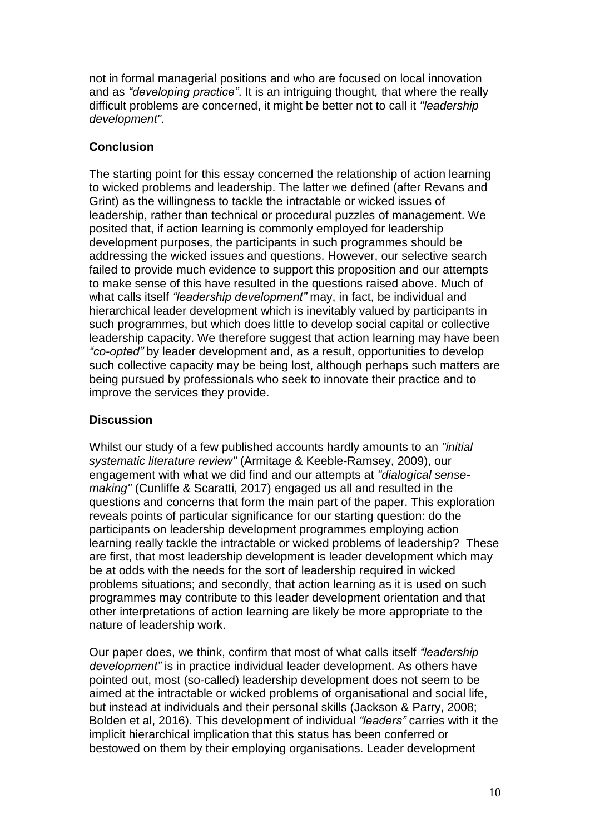not in formal managerial positions and who are focused on local innovation and as *"developing practice"*. It is an intriguing thought*,* that where the really difficult problems are concerned, it might be better not to call it *"leadership development".*

# **Conclusion**

The starting point for this essay concerned the relationship of action learning to wicked problems and leadership. The latter we defined (after Revans and Grint) as the willingness to tackle the intractable or wicked issues of leadership, rather than technical or procedural puzzles of management. We posited that, if action learning is commonly employed for leadership development purposes, the participants in such programmes should be addressing the wicked issues and questions. However, our selective search failed to provide much evidence to support this proposition and our attempts to make sense of this have resulted in the questions raised above. Much of what calls itself *"leadership development"* may, in fact, be individual and hierarchical leader development which is inevitably valued by participants in such programmes, but which does little to develop social capital or collective leadership capacity. We therefore suggest that action learning may have been *"co-opted"* by leader development and, as a result, opportunities to develop such collective capacity may be being lost, although perhaps such matters are being pursued by professionals who seek to innovate their practice and to improve the services they provide.

## **Discussion**

Whilst our study of a few published accounts hardly amounts to an *"initial systematic literature review"* (Armitage & Keeble-Ramsey, 2009), our engagement with what we did find and our attempts at *"dialogical sensemaking"* (Cunliffe & Scaratti, 2017) engaged us all and resulted in the questions and concerns that form the main part of the paper. This exploration reveals points of particular significance for our starting question: do the participants on leadership development programmes employing action learning really tackle the intractable or wicked problems of leadership? These are first, that most leadership development is leader development which may be at odds with the needs for the sort of leadership required in wicked problems situations; and secondly, that action learning as it is used on such programmes may contribute to this leader development orientation and that other interpretations of action learning are likely be more appropriate to the nature of leadership work.

Our paper does, we think, confirm that most of what calls itself *"leadership development"* is in practice individual leader development. As others have pointed out, most (so-called) leadership development does not seem to be aimed at the intractable or wicked problems of organisational and social life, but instead at individuals and their personal skills (Jackson & Parry, 2008; Bolden et al, 2016). This development of individual *"leaders"* carries with it the implicit hierarchical implication that this status has been conferred or bestowed on them by their employing organisations. Leader development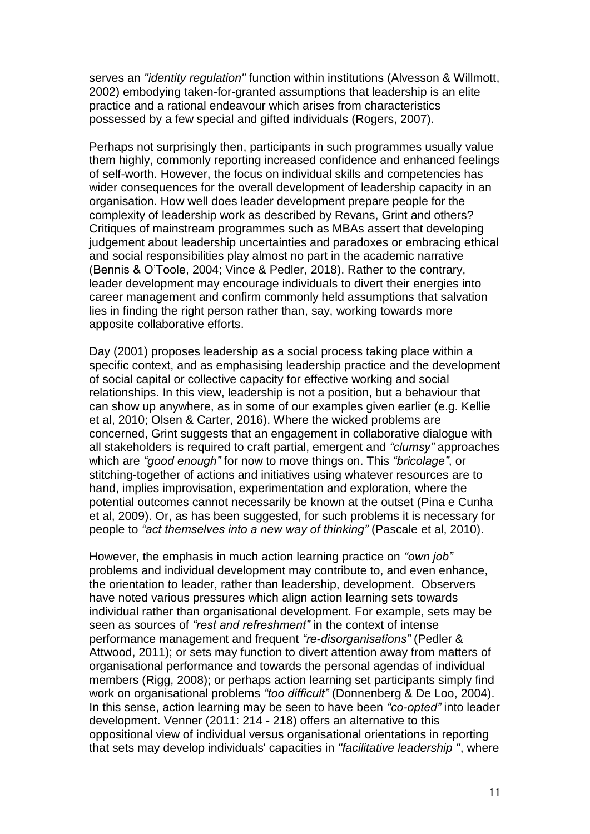serves an *"identity regulation"* function within institutions (Alvesson & Willmott, 2002) embodying taken-for-granted assumptions that leadership is an elite practice and a rational endeavour which arises from characteristics possessed by a few special and gifted individuals (Rogers, 2007).

Perhaps not surprisingly then, participants in such programmes usually value them highly, commonly reporting increased confidence and enhanced feelings of self-worth. However, the focus on individual skills and competencies has wider consequences for the overall development of leadership capacity in an organisation. How well does leader development prepare people for the complexity of leadership work as described by Revans, Grint and others? Critiques of mainstream programmes such as MBAs assert that developing judgement about leadership uncertainties and paradoxes or embracing ethical and social responsibilities play almost no part in the academic narrative (Bennis & O'Toole, 2004; Vince & Pedler, 2018). Rather to the contrary, leader development may encourage individuals to divert their energies into career management and confirm commonly held assumptions that salvation lies in finding the right person rather than, say, working towards more apposite collaborative efforts.

Day (2001) proposes leadership as a social process taking place within a specific context, and as emphasising leadership practice and the development of social capital or collective capacity for effective working and social relationships. In this view, leadership is not a position, but a behaviour that can show up anywhere, as in some of our examples given earlier (e.g. Kellie et al, 2010; Olsen & Carter, 2016). Where the wicked problems are concerned, Grint suggests that an engagement in collaborative dialogue with all stakeholders is required to craft partial, emergent and *"clumsy"* approaches which are *"good enough"* for now to move things on. This *"bricolage"*, or stitching-together of actions and initiatives using whatever resources are to hand, implies improvisation, experimentation and exploration, where the potential outcomes cannot necessarily be known at the outset (Pina e Cunha et al, 2009). Or, as has been suggested, for such problems it is necessary for people to *"act themselves into a new way of thinking"* (Pascale et al, 2010).

However, the emphasis in much action learning practice on *"own job"* problems and individual development may contribute to, and even enhance, the orientation to leader, rather than leadership, development. Observers have noted various pressures which align action learning sets towards individual rather than organisational development. For example, sets may be seen as sources of *"rest and refreshment"* in the context of intense performance management and frequent *"re-disorganisations"* (Pedler & Attwood, 2011); or sets may function to divert attention away from matters of organisational performance and towards the personal agendas of individual members (Rigg, 2008); or perhaps action learning set participants simply find work on organisational problems *"too difficult"* (Donnenberg & De Loo, 2004). In this sense, action learning may be seen to have been *"co-opted"* into leader development. Venner (2011: 214 - 218) offers an alternative to this oppositional view of individual versus organisational orientations in reporting that sets may develop individuals' capacities in *"facilitative leadership "*, where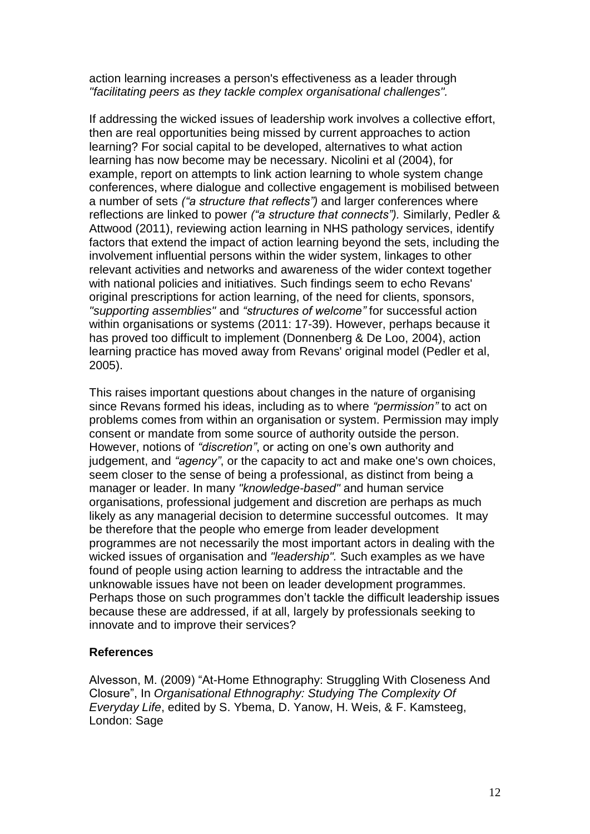action learning increases a person's effectiveness as a leader through *"facilitating peers as they tackle complex organisational challenges".* 

If addressing the wicked issues of leadership work involves a collective effort, then are real opportunities being missed by current approaches to action learning? For social capital to be developed, alternatives to what action learning has now become may be necessary. Nicolini et al (2004), for example, report on attempts to link action learning to whole system change conferences, where dialogue and collective engagement is mobilised between a number of sets *("a structure that reflects")* and larger conferences where reflections are linked to power *("a structure that connects").* Similarly, Pedler & Attwood (2011), reviewing action learning in NHS pathology services, identify factors that extend the impact of action learning beyond the sets, including the involvement influential persons within the wider system, linkages to other relevant activities and networks and awareness of the wider context together with national policies and initiatives. Such findings seem to echo Revans' original prescriptions for action learning, of the need for clients, sponsors, *"supporting assemblies"* and *"structures of welcome"* for successful action within organisations or systems (2011: 17-39). However, perhaps because it has proved too difficult to implement (Donnenberg & De Loo, 2004), action learning practice has moved away from Revans' original model (Pedler et al, 2005).

This raises important questions about changes in the nature of organising since Revans formed his ideas, including as to where *"permission"* to act on problems comes from within an organisation or system. Permission may imply consent or mandate from some source of authority outside the person. However, notions of *"discretion"*, or acting on one's own authority and judgement, and *"agency"*, or the capacity to act and make one's own choices, seem closer to the sense of being a professional, as distinct from being a manager or leader. In many *"knowledge-based"* and human service organisations, professional judgement and discretion are perhaps as much likely as any managerial decision to determine successful outcomes. It may be therefore that the people who emerge from leader development programmes are not necessarily the most important actors in dealing with the wicked issues of organisation and *"leadership".* Such examples as we have found of people using action learning to address the intractable and the unknowable issues have not been on leader development programmes. Perhaps those on such programmes don't tackle the difficult leadership issues because these are addressed, if at all, largely by professionals seeking to innovate and to improve their services?

#### **References**

Alvesson, M. (2009) "At-Home Ethnography: Struggling With Closeness And Closure", In *Organisational Ethnography: Studying The Complexity Of Everyday Life*, edited by S. Ybema, D. Yanow, H. Weis, & F. Kamsteeg, London: Sage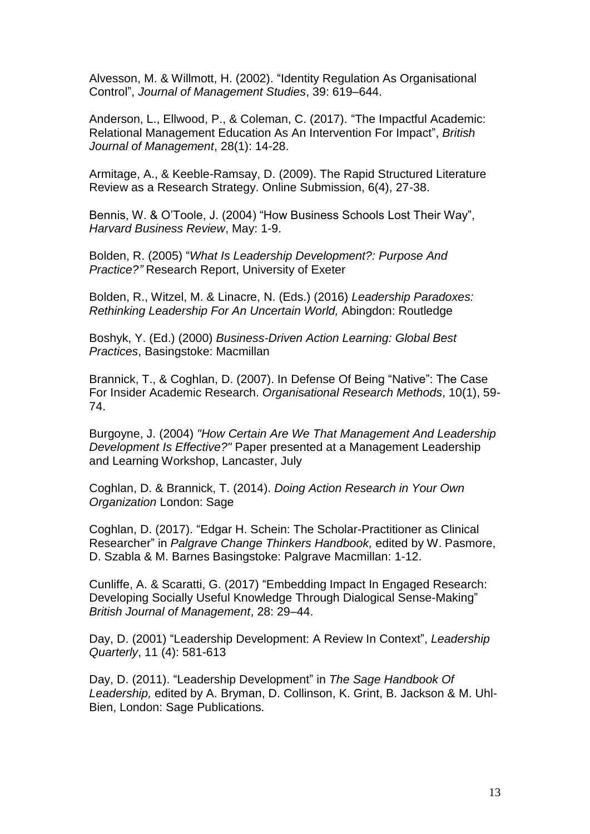Alvesson, M. & Willmott, H. (2002). "Identity Regulation As Organisational Control", *Journal of Management Studies*, 39: 619–644.

Anderson, L., Ellwood, P., & Coleman, C. (2017). "The Impactful Academic: Relational Management Education As An Intervention For Impact", *British Journal of Management*, 28(1): 14-28.

Armitage, A., & Keeble-Ramsay, D. (2009). The Rapid Structured Literature Review as a Research Strategy. Online Submission, 6(4), 27-38.

Bennis, W. & O'Toole, J. (2004) "How Business Schools Lost Their Way", *Harvard Business Review*, May: 1-9.

Bolden, R. (2005) "*What Is Leadership Development?: Purpose And Practice?"* Research Report, University of Exeter

Bolden, R., Witzel, M. & Linacre, N. (Eds.) (2016) *Leadership Paradoxes: Rethinking Leadership For An Uncertain World,* Abingdon: Routledge

Boshyk, Y. (Ed.) (2000) *Business-Driven Action Learning: Global Best Practices*, Basingstoke: Macmillan

Brannick, T., & Coghlan, D. (2007). In Defense Of Being "Native": The Case For Insider Academic Research. *Organisational Research Methods*, 10(1), 59- 74.

Burgoyne, J. (2004) *"How Certain Are We That Management And Leadership Development Is Effective?"* Paper presented at a Management Leadership and Learning Workshop, Lancaster, July

Coghlan, D. & Brannick, T. (2014). *Doing Action Research in Your Own Organization* London: Sage

Coghlan, D. (2017). "Edgar H. Schein: The Scholar-Practitioner as Clinical Researcher" in *Palgrave Change Thinkers Handbook,* edited by W. Pasmore, D. Szabla & M. Barnes Basingstoke: Palgrave Macmillan: 1-12.

Cunliffe, A. & Scaratti, G. (2017) "Embedding Impact In Engaged Research: Developing Socially Useful Knowledge Through Dialogical Sense-Making" *British Journal of Management*, 28: 29–44.

Day, D. (2001) "Leadership Development: A Review In Context", *Leadership Quarterly*, 11 (4): 581-613

Day, D. (2011). "Leadership Development" in *The Sage Handbook Of Leadership,* edited by A. Bryman, D. Collinson, K. Grint, B. Jackson & M. Uhl-Bien, London: Sage Publications.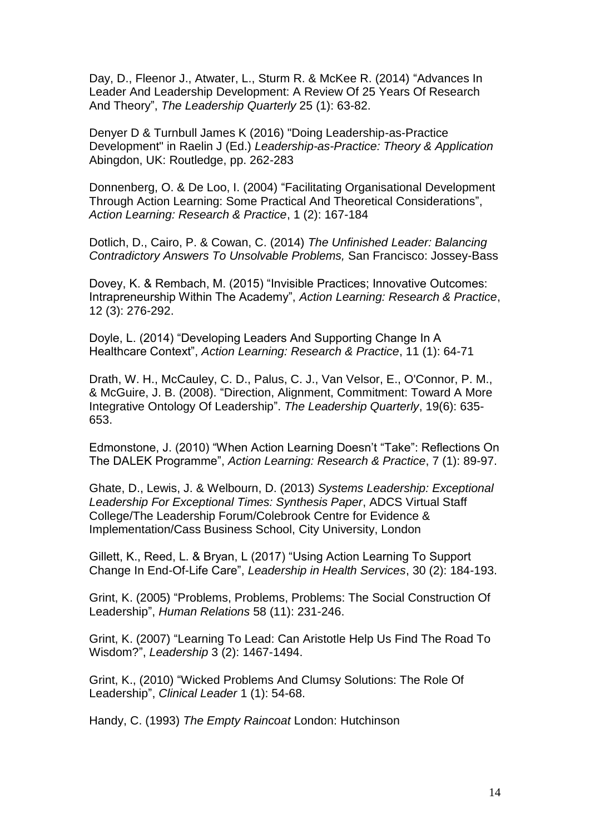Day, D., Fleenor J., Atwater, L., Sturm R. & McKee R. (2014) "Advances In Leader And Leadership Development: A Review Of 25 Years Of Research And Theory", *The Leadership Quarterly* 25 (1): 63-82.

Denyer D & Turnbull James K (2016) "Doing Leadership-as-Practice Development" in Raelin J (Ed.) *Leadership-as-Practice: Theory & Application* Abingdon, UK: Routledge, pp. 262-283

Donnenberg, O. & De Loo, I. (2004) "Facilitating Organisational Development Through Action Learning: Some Practical And Theoretical Considerations", *Action Learning: Research & Practice*, 1 (2): 167-184

Dotlich, D., Cairo, P. & Cowan, C. (2014) *The Unfinished Leader: Balancing Contradictory Answers To Unsolvable Problems,* San Francisco: Jossey-Bass

Dovey, K. & Rembach, M. (2015) "Invisible Practices; Innovative Outcomes: Intrapreneurship Within The Academy", *Action Learning: Research & Practice*, 12 (3): 276-292.

Doyle, L. (2014) "Developing Leaders And Supporting Change In A Healthcare Context", *Action Learning: Research & Practice*, 11 (1): 64-71

Drath, W. H., McCauley, C. D., Palus, C. J., Van Velsor, E., O'Connor, P. M., & McGuire, J. B. (2008). "Direction, Alignment, Commitment: Toward A More Integrative Ontology Of Leadership". *The Leadership Quarterly*, 19(6): 635- 653.

Edmonstone, J. (2010) "When Action Learning Doesn't "Take": Reflections On The DALEK Programme", *Action Learning: Research & Practice*, 7 (1): 89-97.

Ghate, D., Lewis, J. & Welbourn, D. (2013) *Systems Leadership: Exceptional Leadership For Exceptional Times: Synthesis Paper*, ADCS Virtual Staff College/The Leadership Forum/Colebrook Centre for Evidence & Implementation/Cass Business School, City University, London

Gillett, K., Reed, L. & Bryan, L (2017) "Using Action Learning To Support Change In End-Of-Life Care", *Leadership in Health Services*, 30 (2): 184-193.

Grint, K. (2005) "Problems, Problems, Problems: The Social Construction Of Leadership", *Human Relations* 58 (11): 231-246.

Grint, K. (2007) "Learning To Lead: Can Aristotle Help Us Find The Road To Wisdom?", *Leadership* 3 (2): 1467-1494.

Grint, K., (2010) "Wicked Problems And Clumsy Solutions: The Role Of Leadership", *Clinical Leader* 1 (1): 54-68.

Handy, C. (1993) *The Empty Raincoat* London: Hutchinson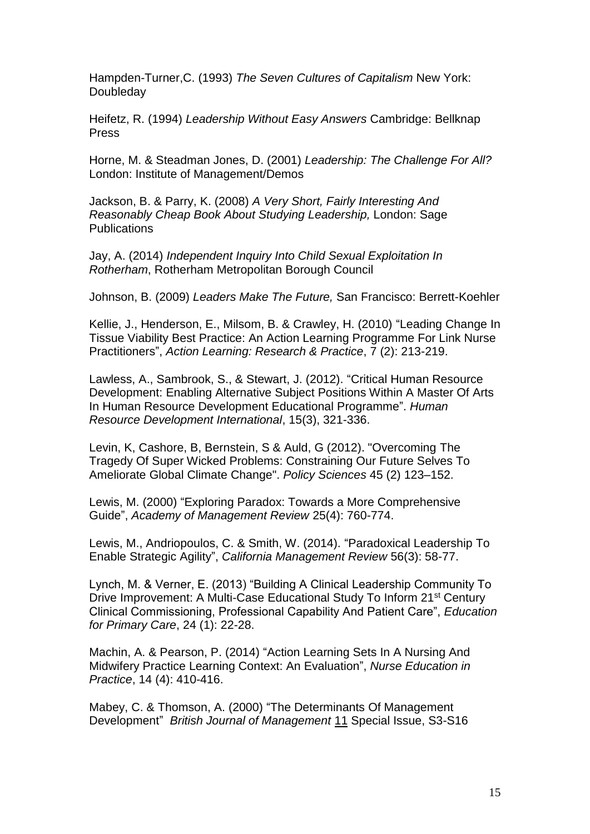Hampden-Turner,C. (1993) *The Seven Cultures of Capitalism* New York: Doubleday

Heifetz, R. (1994) *Leadership Without Easy Answers* Cambridge: Bellknap Press

Horne, M. & Steadman Jones, D. (2001) *Leadership: The Challenge For All?* London: Institute of Management/Demos

Jackson, B. & Parry, K. (2008) *A Very Short, Fairly Interesting And Reasonably Cheap Book About Studying Leadership,* London: Sage **Publications** 

Jay, A. (2014) *Independent Inquiry Into Child Sexual Exploitation In Rotherham*, Rotherham Metropolitan Borough Council

Johnson, B. (2009) *Leaders Make The Future,* San Francisco: Berrett-Koehler

Kellie, J., Henderson, E., Milsom, B. & Crawley, H. (2010) "Leading Change In Tissue Viability Best Practice: An Action Learning Programme For Link Nurse Practitioners", *Action Learning: Research & Practice*, 7 (2): 213-219.

Lawless, A., Sambrook, S., & Stewart, J. (2012). "Critical Human Resource Development: Enabling Alternative Subject Positions Within A Master Of Arts In Human Resource Development Educational Programme". *Human Resource Development International*, 15(3), 321-336.

Levin, K, Cashore, B, Bernstein, S & Auld, G (2012). "Overcoming The Tragedy Of Super Wicked Problems: Constraining Our Future Selves To Ameliorate Global Climate Change". *Policy Sciences* 45 (2) 123–152.

Lewis, M. (2000) "Exploring Paradox: Towards a More Comprehensive Guide", *Academy of Management Review* 25(4): 760-774.

Lewis, M., Andriopoulos, C. & Smith, W. (2014). "Paradoxical Leadership To Enable Strategic Agility", *California Management Review* 56(3): 58-77.

Lynch, M. & Verner, E. (2013) "Building A Clinical Leadership Community To Drive Improvement: A Multi-Case Educational Study To Inform 21st Century Clinical Commissioning, Professional Capability And Patient Care", *Education for Primary Care*, 24 (1): 22-28.

Machin, A. & Pearson, P. (2014) "Action Learning Sets In A Nursing And Midwifery Practice Learning Context: An Evaluation", *Nurse Education in Practice*, 14 (4): 410-416.

Mabey, C. & Thomson, A. (2000) "The Determinants Of Management Development" *British Journal of Management* 11 Special Issue, S3-S16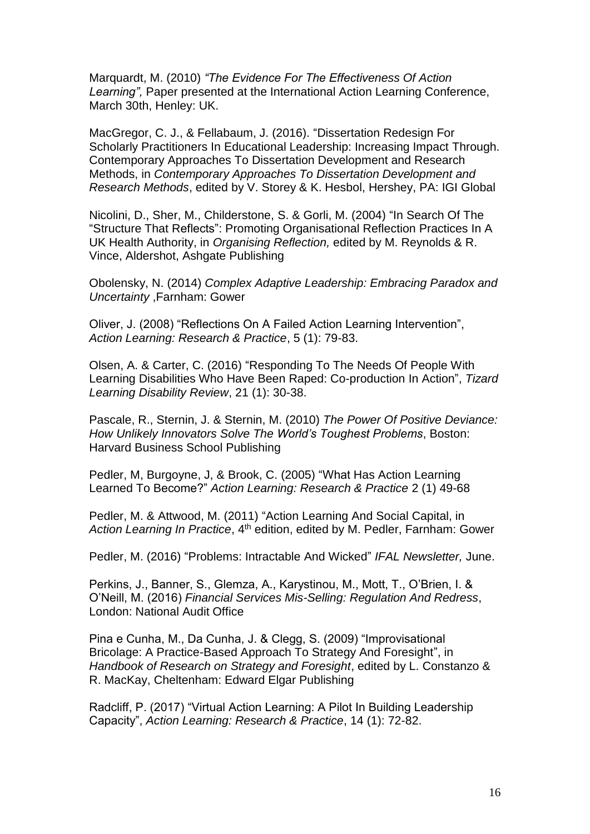Marquardt, M. (2010) *"The Evidence For The Effectiveness Of Action Learning",* Paper presented at the International Action Learning Conference, March 30th, Henley: UK.

MacGregor, C. J., & Fellabaum, J. (2016). "Dissertation Redesign For Scholarly Practitioners In Educational Leadership: Increasing Impact Through. Contemporary Approaches To Dissertation Development and Research Methods, in *Contemporary Approaches To Dissertation Development and Research Methods*, edited by V. Storey & K. Hesbol, Hershey, PA: IGI Global

Nicolini, D., Sher, M., Childerstone, S. & Gorli, M. (2004) "In Search Of The "Structure That Reflects": Promoting Organisational Reflection Practices In A UK Health Authority, in *Organising Reflection,* edited by M. Reynolds & R. Vince, Aldershot, Ashgate Publishing

Obolensky, N. (2014) *Complex Adaptive Leadership: Embracing Paradox and Uncertainty* ,Farnham: Gower

Oliver, J. (2008) "Reflections On A Failed Action Learning Intervention", *Action Learning: Research & Practice*, 5 (1): 79-83.

Olsen, A. & Carter, C. (2016) "Responding To The Needs Of People With Learning Disabilities Who Have Been Raped: Co-production In Action", *Tizard Learning Disability Review*, 21 (1): 30-38.

Pascale, R., Sternin, J. & Sternin, M. (2010) *The Power Of Positive Deviance: How Unlikely Innovators Solve The World's Toughest Problems*, Boston: Harvard Business School Publishing

Pedler, M, Burgoyne, J, & Brook, C. (2005) "What Has Action Learning Learned To Become?" *Action Learning: Research & Practice* 2 (1) 49-68

Pedler, M. & Attwood, M. (2011) "Action Learning And Social Capital, in Action Learning In Practice, 4<sup>th</sup> edition, edited by M. Pedler, Farnham: Gower

Pedler, M. (2016) "Problems: Intractable And Wicked" *IFAL Newsletter,* June.

Perkins, J., Banner, S., Glemza, A., Karystinou, M., Mott, T., O'Brien, I. & O'Neill, M. (2016) *Financial Services Mis-Selling: Regulation And Redress*, London: National Audit Office

Pina e Cunha, M., Da Cunha, J. & Clegg, S. (2009) "Improvisational Bricolage: A Practice-Based Approach To Strategy And Foresight", in *Handbook of Research on Strategy and Foresight*, edited by L. Constanzo & R. MacKay, Cheltenham: Edward Elgar Publishing

Radcliff, P. (2017) "Virtual Action Learning: A Pilot In Building Leadership Capacity", *Action Learning: Research & Practice*, 14 (1): 72-82.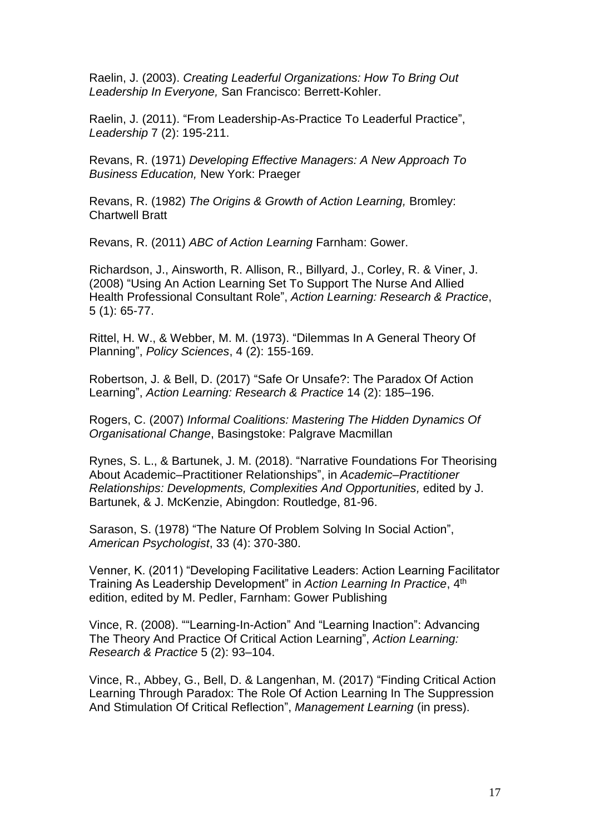Raelin, J. (2003). *Creating Leaderful Organizations: How To Bring Out Leadership In Everyone,* San Francisco: Berrett-Kohler.

Raelin, J. (2011). "From Leadership-As-Practice To Leaderful Practice", *Leadership* 7 (2): 195-211.

Revans, R. (1971) *Developing Effective Managers: A New Approach To Business Education,* New York: Praeger

Revans, R. (1982) *The Origins & Growth of Action Learning,* Bromley: Chartwell Bratt

Revans, R. (2011) *ABC of Action Learning* Farnham: Gower.

Richardson, J., Ainsworth, R. Allison, R., Billyard, J., Corley, R. & Viner, J. (2008) "Using An Action Learning Set To Support The Nurse And Allied Health Professional Consultant Role", *Action Learning: Research & Practice*, 5 (1): 65-77.

Rittel, H. W., & Webber, M. M. (1973). "Dilemmas In A General Theory Of Planning", *Policy Sciences*, 4 (2): 155-169.

Robertson, J. & Bell, D. (2017) "Safe Or Unsafe?: The Paradox Of Action Learning", *Action Learning: Research & Practice* 14 (2): 185–196.

Rogers, C. (2007) *Informal Coalitions: Mastering The Hidden Dynamics Of Organisational Change*, Basingstoke: Palgrave Macmillan

Rynes, S. L., & Bartunek, J. M. (2018). "Narrative Foundations For Theorising About Academic–Practitioner Relationships", in *Academic–Practitioner Relationships: Developments, Complexities And Opportunities,* edited by J. Bartunek, & J. McKenzie, Abingdon: Routledge, 81-96.

Sarason, S. (1978) "The Nature Of Problem Solving In Social Action", *American Psychologist*, 33 (4): 370-380.

Venner, K. (2011) "Developing Facilitative Leaders: Action Learning Facilitator Training As Leadership Development" in *Action Learning In Practice*, 4th edition, edited by M. Pedler, Farnham: Gower Publishing

Vince, R. (2008). ""Learning-In-Action" And "Learning Inaction": Advancing The Theory And Practice Of Critical Action Learning", *Action Learning: Research & Practice* 5 (2): 93–104.

Vince, R., Abbey, G., Bell, D. & Langenhan, M. (2017) "Finding Critical Action Learning Through Paradox: The Role Of Action Learning In The Suppression And Stimulation Of Critical Reflection", *Management Learning* (in press).